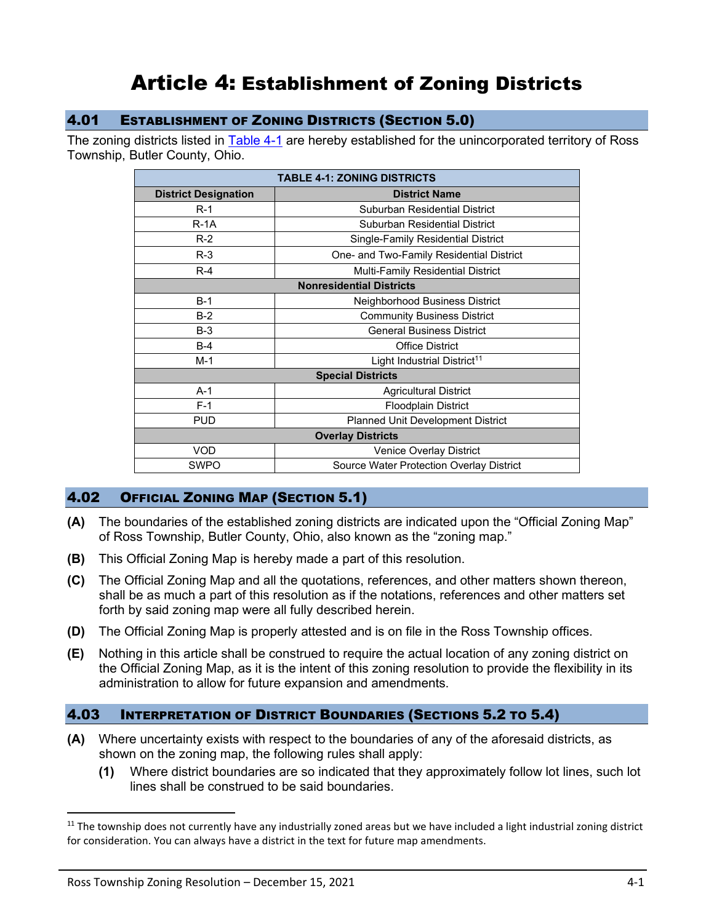# Article 4: Establishment of Zoning Districts

#### 4.01 ESTABLISHMENT OF ZONING DISTRICTS (SECTION 5.0)

The zoning districts listed in **Table 4-1** are hereby established for the unincorporated territory of Ross Township, Butler County, Ohio.

<span id="page-0-0"></span>

| <b>TABLE 4-1: ZONING DISTRICTS</b> |                                                 |
|------------------------------------|-------------------------------------------------|
| <b>District Designation</b>        | <b>District Name</b>                            |
| $R-1$                              | Suburban Residential District                   |
| $R-1A$                             | Suburban Residential District                   |
| $R-2$                              | Single-Family Residential District              |
| $R-3$                              | One- and Two-Family Residential District        |
| $R-4$                              | <b>Multi-Family Residential District</b>        |
| <b>Nonresidential Districts</b>    |                                                 |
| $B-1$                              | Neighborhood Business District                  |
| $B-2$                              | <b>Community Business District</b>              |
| $B-3$                              | <b>General Business District</b>                |
| $B-4$                              | <b>Office District</b>                          |
| $M-1$                              | Light Industrial District <sup>11</sup>         |
| <b>Special Districts</b>           |                                                 |
| $A-1$                              | <b>Agricultural District</b>                    |
| $F-1$                              | <b>Floodplain District</b>                      |
| <b>PUD</b>                         | Planned Unit Development District               |
| <b>Overlay Districts</b>           |                                                 |
| VOD                                | Venice Overlay District                         |
| <b>SWPO</b>                        | <b>Source Water Protection Overlay District</b> |
|                                    |                                                 |

#### 4.02 OFFICIAL ZONING MAP (SECTION 5.1)

- **(A)** The boundaries of the established zoning districts are indicated upon the "Official Zoning Map" of Ross Township, Butler County, Ohio, also known as the "zoning map."
- **(B)** This Official Zoning Map is hereby made a part of this resolution.
- **(C)** The Official Zoning Map and all the quotations, references, and other matters shown thereon, shall be as much a part of this resolution as if the notations, references and other matters set forth by said zoning map were all fully described herein.
- **(D)** The Official Zoning Map is properly attested and is on file in the Ross Township offices.
- **(E)** Nothing in this article shall be construed to require the actual location of any zoning district on the Official Zoning Map, as it is the intent of this zoning resolution to provide the flexibility in its administration to allow for future expansion and amendments.

#### 4.03 INTERPRETATION OF DISTRICT BOUNDARIES (SECTIONS 5.2 TO 5.4)

- **(A)** Where uncertainty exists with respect to the boundaries of any of the aforesaid districts, as shown on the zoning map, the following rules shall apply:
	- **(1)** Where district boundaries are so indicated that they approximately follow lot lines, such lot lines shall be construed to be said boundaries.

<sup>&</sup>lt;sup>11</sup> The township does not currently have any industrially zoned areas but we have included a light industrial zoning district for consideration. You can always have a district in the text for future map amendments.